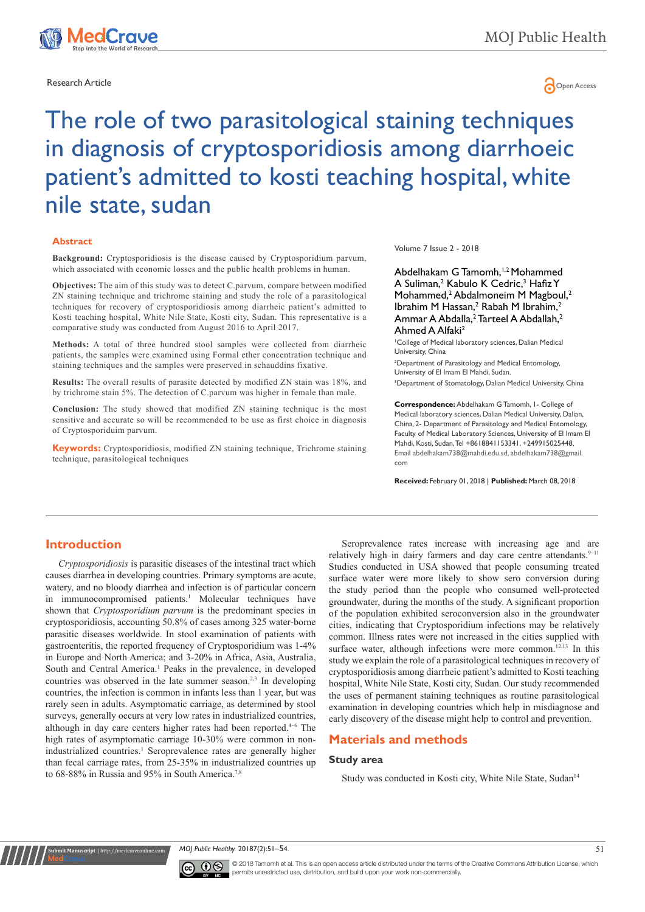

# Research Article **Contracts and Contracts and Contracts and Contracts and Contracts and Copen Access 201**

# The role of two parasitological staining techniques in diagnosis of cryptosporidiosis among diarrhoeic patient's admitted to kosti teaching hospital, white nile state, sudan

#### **Abstract**

**Background:** Cryptosporidiosis is the disease caused by Cryptosporidium parvum, which associated with economic losses and the public health problems in human.

**Objectives:** The aim of this study was to detect C.parvum, compare between modified ZN staining technique and trichrome staining and study the role of a parasitological techniques for recovery of cryptosporidiosis among diarrheic patient's admitted to Kosti teaching hospital, White Nile State, Kosti city, Sudan. This representative is a comparative study was conducted from August 2016 to April 2017.

**Methods:** A total of three hundred stool samples were collected from diarrheic patients, the samples were examined using Formal ether concentration technique and staining techniques and the samples were preserved in schauddins fixative.

**Results:** The overall results of parasite detected by modified ZN stain was 18%, and by trichrome stain 5%. The detection of C.parvum was higher in female than male.

**Conclusion:** The study showed that modified ZN staining technique is the most sensitive and accurate so will be recommended to be use as first choice in diagnosis of Cryptosporiduim parvum.

**Keywords:** Cryptosporidiosis, modified ZN staining technique, Trichrome staining technique, parasitological techniques

#### Volume 7 Issue 2 - 2018

Abdelhakam G Tamomh,<sup>1,2</sup> Mohammed A Suliman,<sup>2</sup> Kabulo K Cedric,<sup>3</sup> Hafiz Y Mohammed,<sup>2</sup> Abdalmoneim M Magboul,<sup>2</sup> Ibrahim M Hassan,<sup>2</sup> Rabah M Ibrahim,<sup>2</sup> Ammar A Abdalla,<sup>2</sup> Tarteel A Abdallah,<sup>2</sup> Ahmed A Alfaki2

1 College of Medical laboratory sciences, Dalian Medical University, China

2 Department of Parasitology and Medical Entomology, University of El Imam El Mahdi, Sudan.

3 Department of Stomatology, Dalian Medical University, China

**Correspondence:** Abdelhakam G Tamomh, 1- College of Medical laboratory sciences, Dalian Medical University, Dalian, China, 2- Department of Parasitology and Medical Entomology, Faculty of Medical Laboratory Sciences, University of El Imam El Mahdi, Kosti, Sudan, Tel +8618841153341, +249915025448, Email abdelhakam738@mahdi.edu.sd, abdelhakam738@gmail. com

**Received:** February 01, 2018 | **Published:** March 08, 2018

# **Introduction**

**nit Manuscript** | http://medcr

*Cryptosporidiosis* is [parasitic diseases](https://en.wikipedia.org/wiki/Parasitic_disease) of the [intestinal tract w](https://en.wikipedia.org/wiki/Intestine)hich causes diarrhea in developing countries. Primary symptoms are acute, watery, and no bloody [diarrhea](https://en.wikipedia.org/wiki/Diarrhea) and infection is of particular concern in [immunocompromised](https://en.wikipedia.org/wiki/Immunocompromised) patients.<sup>1</sup> Molecular techniques have shown that *Cryptosporidium parvum* is the predominant species in cryptosporidiosis, accounting 50.8% of cases among 325 water-borne parasitic diseases worldwide. In stool examination of patients with gastroenteritis, the reported frequency of Cryptosporidium was 1-4% in Europe and North America; and 3-20% in Africa, Asia, Australia, South and Central America.<sup>1</sup> Peaks in the prevalence, in developed countries was observed in the late summer season.2,3 In developing countries, the infection is common in infants less than 1 year, but was rarely seen in adults. Asymptomatic carriage, as determined by stool surveys, generally occurs at very low rates in industrialized countries, although in day care centers higher rates had been reported.<sup>4-6</sup> The high rates of asymptomatic carriage 10-30% were common in nonindustrialized countries.<sup>1</sup> Seroprevalence rates are generally higher than fecal carriage rates, from 25-35% in industrialized countries up to 68-88% in Russia and 95% in South America.<sup>7,8</sup>

Seroprevalence rates increase with increasing age and are relatively high in dairy farmers and day care centre attendants.9-11 Studies conducted in USA showed that people consuming treated surface water were more likely to show sero conversion during the study period than the people who consumed well-protected groundwater, during the months of the study. A significant proportion of the population exhibited seroconversion also in the groundwater cities, indicating that Cryptosporidium infections may be relatively common. Illness rates were not increased in the cities supplied with surface water, although infections were more common.<sup>12,13</sup> In this study we explain the role of a parasitological techniques in recovery of cryptosporidiosis among diarrheic patient's admitted to Kosti teaching hospital, White Nile State, Kosti city, Sudan. Our study recommended the uses of permanent staining techniques as routine parasitological examination in developing countries which help in misdiagnose and early discovery of the disease might help to control and prevention.

# **Materials and methods**

#### **Study area**

Study was conducted in Kosti city, White Nile State, Sudan<sup>14</sup>





© 2018 Tamomh et al. This is an open access article distributed under the terms of the [Creative Commons Attribution License,](https://creativecommons.org/licenses/by-nc/4.0/) which permits unrestricted use, distribution, and build upon your work non-commercially.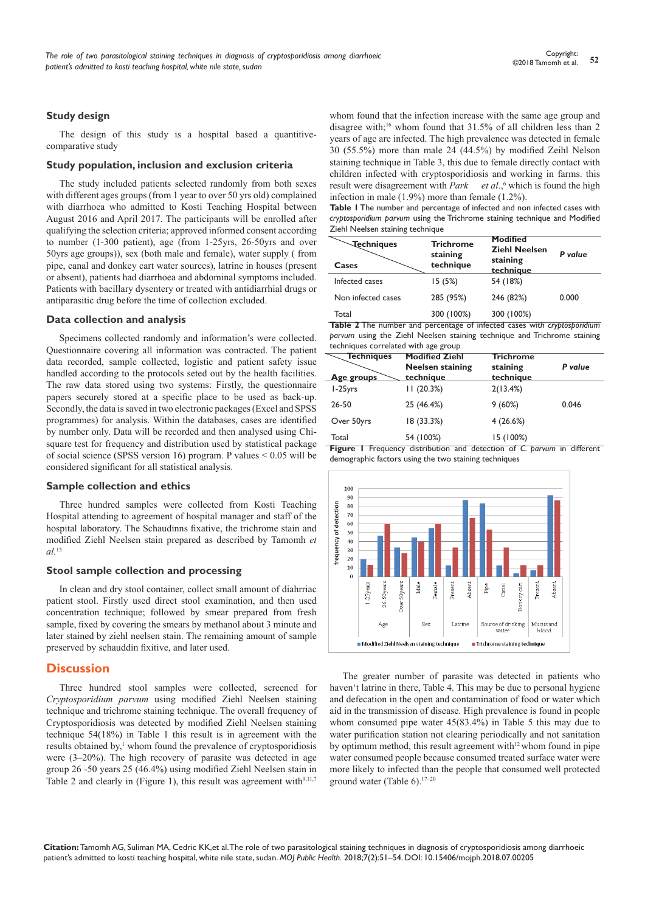#### **Study design**

The design of this study is a hospital based a quantitivecomparative study

#### **Study population, inclusion and exclusion criteria**

The study included patients selected randomly from both sexes with different ages groups (from 1 year to over 50 yrs old) complained with diarrhoea who admitted to Kosti Teaching Hospital between August 2016 and April 2017. The participants will be enrolled after qualifying the selection criteria; approved informed consent according to number (1-300 patient), age (from 1-25yrs, 26-50yrs and over 50yrs age groups)), sex (both male and female), water supply ( from pipe, canal and donkey cart water sources), latrine in houses (present or absent), patients had diarrhoea and abdominal symptoms included. Patients with bacillary dysentery or treated with antidiarrhial drugs or antiparasitic drug before the time of collection excluded.

#### **Data collection and analysis**

Specimens collected randomly and information's were collected. Questionnaire covering all information was contracted. The patient data recorded, sample collected, logistic and patient safety issue handled according to the protocols seted out by the health facilities. The raw data stored using two systems: Firstly, the questionnaire papers securely stored at a specific place to be used as back-up. Secondly, the data is saved in two electronic packages (Excel and SPSS programmes) for analysis. Within the databases, cases are identified by number only. Data will be recorded and then analysed using Chisquare test for frequency and distribution used by statistical package of social science (SPSS version 16) program. P values < 0.05 will be considered significant for all statistical analysis.

#### **Sample collection and ethics**

Three hundred samples were collected from Kosti Teaching Hospital attending to agreement of hospital manager and staff of the hospital laboratory. The Schaudinns fixative, the trichrome stain and modified Ziehl Neelsen stain prepared as described by Tamomh *et al.*<sup>15</sup>

#### **Stool sample collection and processing**

In clean and dry stool container, collect small amount of diahrriac patient stool. Firstly used direct stool examination, and then used concentration technique; followed by smear prepared from fresh sample, fixed by covering the smears by methanol about 3 minute and later stained by ziehl neelsen stain. The remaining amount of sample preserved by schauddin fixitive, and later used.

#### **Discussion**

Three hundred stool samples were collected, screened for *Cryptosporidium parvum* using modified Ziehl Neelsen staining technique and trichrome staining technique. The overall frequency of Cryptosporidiosis was detected by modified Ziehl Neelsen staining technique 54(18%) in Table 1 this result is in agreement with the results obtained by,<sup>1</sup> whom found the prevalence of cryptosporidiosis were (3–20%). The high recovery of parasite was detected in age group 26 -50 years 25 (46.4%) using modified Ziehl Neelsen stain in Table 2 and clearly in (Figure 1), this result was agreement with $9,11,7$ 

whom found that the infection increase with the same age group and disagree with;<sup>16</sup> whom found that 31.5% of all children less than 2 years of age are infected. The high prevalence was detected in female 30 (55.5%) more than male 24 (44.5%) by modified Zeihl Nelson staining technique in Table 3, this due to female directly contact with children infected with cryptosporidiosis and working in farms. this result were disagreement with *Park et al*.,<sup>6</sup> which is found the high infection in male (1.9%) more than female (1.2%).

**Table 1** The number and percentage of infected and non infected cases with *cryptosporidium parvum* using the Trichrome staining technique and Modified Ziehl Neelsen staining technique

| <b>Techniques</b><br>Cases | <b>Trichrome</b><br>staining<br>technique | <b>Modified</b><br><b>Ziehl Neelsen</b><br>staining<br>technique | P value |
|----------------------------|-------------------------------------------|------------------------------------------------------------------|---------|
| Infected cases             | 15(5%)                                    | 54 (18%)                                                         |         |
| Non infected cases         | 285 (95%)                                 | 246 (82%)                                                        | 0.000   |
| Total                      | 300 (100%)                                | 300 (100%)                                                       |         |

**Table 2** The number and percentage of infected cases wit*h cryptosporidium parvum* using the Ziehl Neelsen staining technique and Trichrome staining techniques correlated with age group

| <b>Techniques</b> | <b>Modified Ziehl</b><br><b>Neelsen staining</b> | <b>Trichrome</b><br>staining | P value |
|-------------------|--------------------------------------------------|------------------------------|---------|
| Age groups        | technique                                        | technique                    |         |
| 1-25yrs           | 11(20.3%)                                        | 2(13.4%)                     |         |
| 26-50             | 25 (46.4%)                                       | 9(60%)                       | 0.046   |
| Over 50yrs        | 18 (33.3%)                                       | 4(26.6%)                     |         |
| Total             | 54 (100%)                                        | 15 (100%)                    |         |

**Figure 1** Frequency distribution and detection of *C. parvum* in different demographic factors using the two staining techniques



The greater number of parasite was detected in patients who haven't latrine in there, Table 4. This may be due to personal hygiene and defecation in the open and contamination of food or water which aid in the transmission of disease. High prevalence is found in people whom consumed pipe water 45(83.4%) in Table 5 this may due to water purification station not clearing periodically and not sanitation by optimum method, this result agreement with<sup>12</sup> whom found in pipe water consumed people because consumed treated surface water were more likely to infected than the people that consumed well protected ground water (Table  $6$ ).<sup>17–20</sup>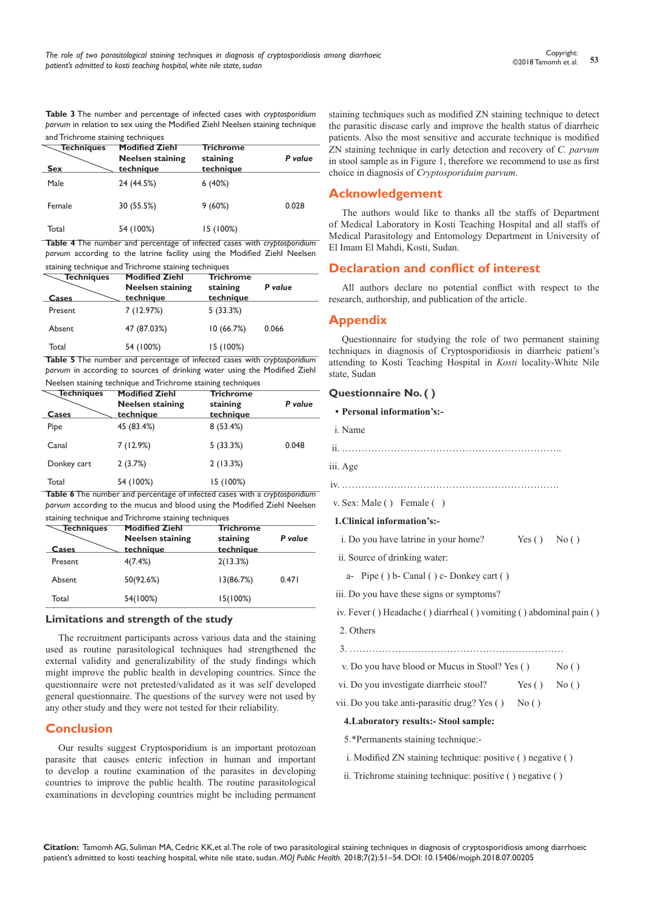**Table 3** The number and percentage of infected cases with *cryptosporidium parvum* in relation to sex using the Modified Ziehl Neelsen staining technique and Trichrome staining techniques

| <b>Techniques</b><br><b>Sex</b> | <b>Modified Ziehl</b><br><b>Neelsen staining</b><br>technique | <b>Trichrome</b><br>staining<br>technique | P value |
|---------------------------------|---------------------------------------------------------------|-------------------------------------------|---------|
| Male                            | 24 (44.5%)                                                    | 6(40%)                                    |         |
| Female                          | 30 (55.5%)                                                    | 9(60%)                                    | 0.028   |
| Total                           | 54 (100%)                                                     | 15 (100%)                                 |         |

**Table 4** The number and percentage of infected cases with *cryptosporidium parvum* according to the latrine facility using the Modified Ziehl Neelsen staining technique and Trichrome staining techniques

| <b>Techniques</b><br>Cases | <b>Modified Ziehl</b><br><b>Neelsen staining</b><br>technique | <b>Trichrome</b><br>staining<br>technique | P value |
|----------------------------|---------------------------------------------------------------|-------------------------------------------|---------|
| Present                    | 7(12.97%)                                                     | 5(33.3%)                                  |         |
| Absent                     | 47 (87.03%)                                                   | 10(66.7%)                                 | 0.066   |
| Total                      | 54 (100%)                                                     | 15 (100%)                                 |         |

**Table 5** The number and percentage of infected cases with *cryptosporidium parvum* in according to sources of drinking water using the Modified Ziehl Neelsen staining technique and Trichrome staining techniques

| <b>Techniques</b><br>Cases | <b>Modified Ziehl</b><br><b>Neelsen staining</b><br>technique | <b>Trichrome</b><br>staining<br>technique | P value |
|----------------------------|---------------------------------------------------------------|-------------------------------------------|---------|
| Pipe                       | 45 (83.4%)                                                    | 8(53.4%)                                  |         |
| Canal                      | 7(12.9%)                                                      | 5(33.3%)                                  | 0.048   |
| Donkey cart                | 2(3.7%)                                                       | 2(13.3%)                                  |         |
| Total                      | 54 (100%)                                                     | 15 (100%)                                 |         |

**Table 6** The number and percentage of infected cases with a *cryptosporidium parvum* according to the mucus and blood using the Modified Ziehl Neelsen staining technique and Trichrome staining techniques

| <b>Techniques</b> | staming technique and michi onic staming techniques<br><b>Modified Ziehl</b> | <b>Trichrome</b>      |         |  |
|-------------------|------------------------------------------------------------------------------|-----------------------|---------|--|
| Cases             | <b>Neelsen staining</b><br>technique                                         | staining<br>technique | P value |  |
| Present           | 4(7.4%)                                                                      | 2(13.3%)              |         |  |
| Absent            | 50(92.6%)                                                                    | 13(86.7%)             | 0.471   |  |
| Total             | 54(100%)                                                                     | 15(100%)              |         |  |

# **Limitations and strength of the study**

The recruitment participants across various data and the staining used as routine parasitological techniques had strengthened the external validity and generalizability of the study findings which might improve the public health in developing countries. Since the questionnaire were not pretested/validated as it was self developed general questionnaire. The questions of the survey were not used by any other study and they were not tested for their reliability.

# **Conclusion**

Our results suggest Cryptosporidium is an important protozoan parasite that causes enteric infection in human and important to develop a routine examination of the parasites in developing countries to improve the public health. The routine parasitological examinations in developing countries might be including permanent

staining techniques such as modified ZN staining technique to detect the parasitic disease early and improve the health status of diarrheic patients. Also the most sensitive and accurate technique is modified ZN staining technique in early detection and recovery of *C. parvum* in stool sample as in Figure 1, therefore we recommend to use as first choice in diagnosis of *Cryptosporiduim parvum*.

# **Acknowledgement**

The authors would like to thanks all the staffs of Department of Medical Laboratory in Kosti Teaching Hospital and all staffs of Medical Parasitology and Entomology Department in University of El Imam El Mahdi, Kosti, Sudan.

# **Declaration and conflict of interest**

All authors declare no potential conflict with respect to the research, authorship, and publication of the article.

# **Appendix**

Questionnaire for studying the role of two permanent staining techniques in diagnosis of Cryptosporidiosis in diarrheic patient's attending to Kosti Teaching Hospital in *Kosti* locality-White Nile state, Sudan

# **Questionnaire No. ( )**

- **• Personal information's:** i. Name
- ii. …………………………………………………………..
- iii. Age
- iv. ………………………………………………………….
- v. Sex: Male ( ) Female ( )

#### **1.Clinical information's:-**

- i. Do you have latrine in your home? Yes () No ()
- ii. Source of drinking water:
	- a- Pipe ( ) b- Canal ( ) c- Donkey cart ( )
- iii. Do you have these signs or symptoms?
- iv. Fever ( ) Headache ( ) diarrheal ( ) vomiting ( ) abdominal pain ( )
- 2. Others
- 3. …………………………………………………………
- v. Do you have blood or Mucus in Stool? Yes  $( )$  No  $( )$
- vi. Do you investigate diarrheic stool? Yes () No ()
- vii. Do you take anti-parasitic drug? Yes () No ()

#### **4.Laboratory results:- Stool sample:**

- 5.\*Permanents staining technique:-
- i. Modified ZN staining technique: positive ( ) negative ( )
- ii. Trichrome staining technique: positive ( ) negative ( )